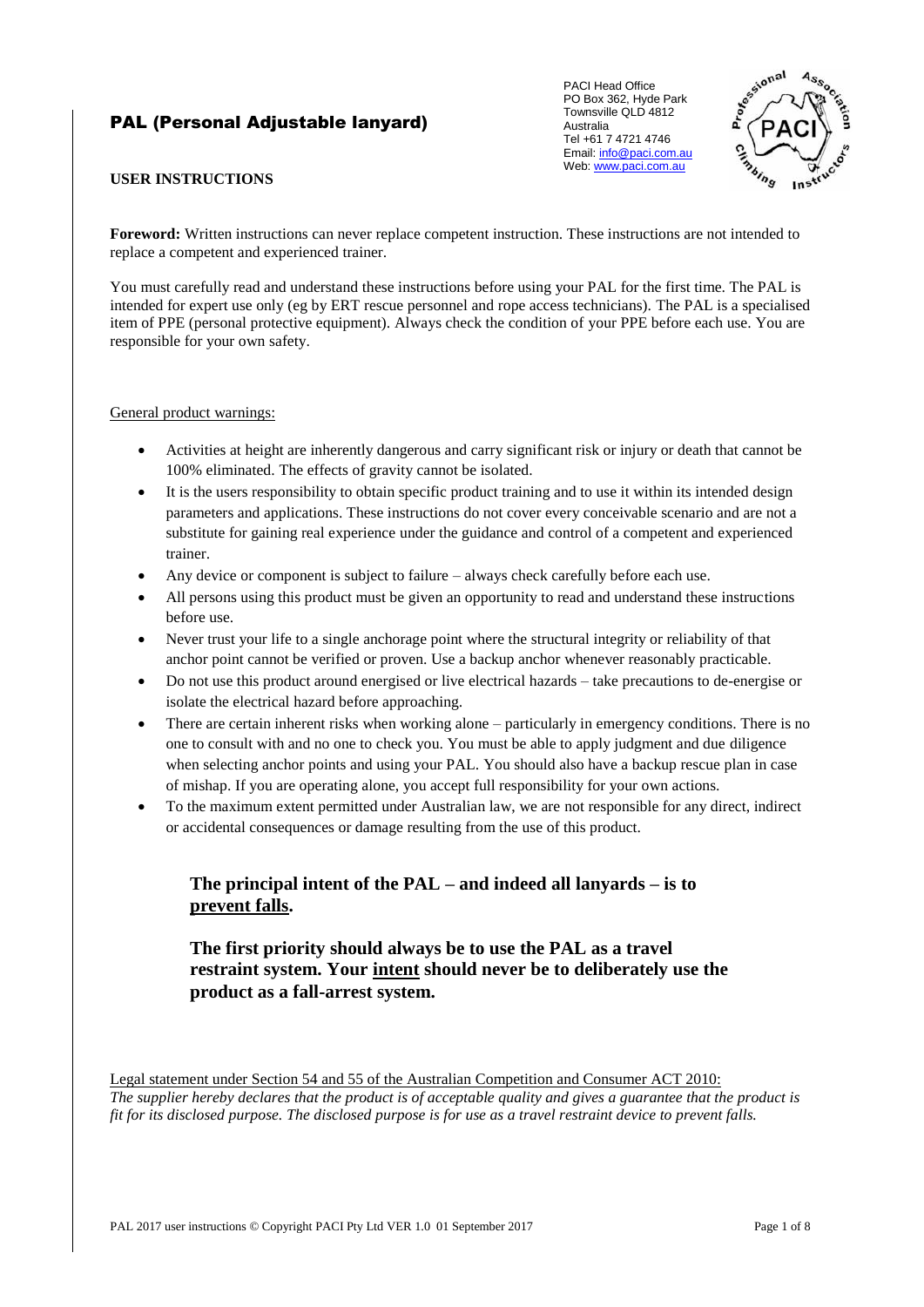# PAL (Personal Adjustable lanyard)

PACI Head Office PO Box 362, Hyde Park Townsville QLD 4812 Australia Tel +61 7 4721 4746 Email[: info@paci.com.au](mailto:info@paci.com.au) Web[: www.paci.com.au](http://www.paci.com.au/)



#### **USER INSTRUCTIONS**

**Foreword:** Written instructions can never replace competent instruction. These instructions are not intended to replace a competent and experienced trainer.

You must carefully read and understand these instructions before using your PAL for the first time. The PAL is intended for expert use only (eg by ERT rescue personnel and rope access technicians). The PAL is a specialised item of PPE (personal protective equipment). Always check the condition of your PPE before each use. You are responsible for your own safety.

#### General product warnings:

- Activities at height are inherently dangerous and carry significant risk or injury or death that cannot be 100% eliminated. The effects of gravity cannot be isolated.
- It is the users responsibility to obtain specific product training and to use it within its intended design parameters and applications. These instructions do not cover every conceivable scenario and are not a substitute for gaining real experience under the guidance and control of a competent and experienced trainer.
- Any device or component is subject to failure always check carefully before each use.
- All persons using this product must be given an opportunity to read and understand these instructions before use.
- Never trust your life to a single anchorage point where the structural integrity or reliability of that anchor point cannot be verified or proven. Use a backup anchor whenever reasonably practicable.
- Do not use this product around energised or live electrical hazards take precautions to de-energise or isolate the electrical hazard before approaching.
- There are certain inherent risks when working alone particularly in emergency conditions. There is no one to consult with and no one to check you. You must be able to apply judgment and due diligence when selecting anchor points and using your PAL. You should also have a backup rescue plan in case of mishap. If you are operating alone, you accept full responsibility for your own actions.
- To the maximum extent permitted under Australian law, we are not responsible for any direct, indirect or accidental consequences or damage resulting from the use of this product.

# **The principal intent of the PAL – and indeed all lanyards – is to prevent falls.**

# **The first priority should always be to use the PAL as a travel restraint system. Your intent should never be to deliberately use the product as a fall-arrest system.**

Legal statement under Section 54 and 55 of the Australian Competition and Consumer ACT 2010: *The supplier hereby declares that the product is of acceptable quality and gives a guarantee that the product is fit for its disclosed purpose. The disclosed purpose is for use as a travel restraint device to prevent falls.*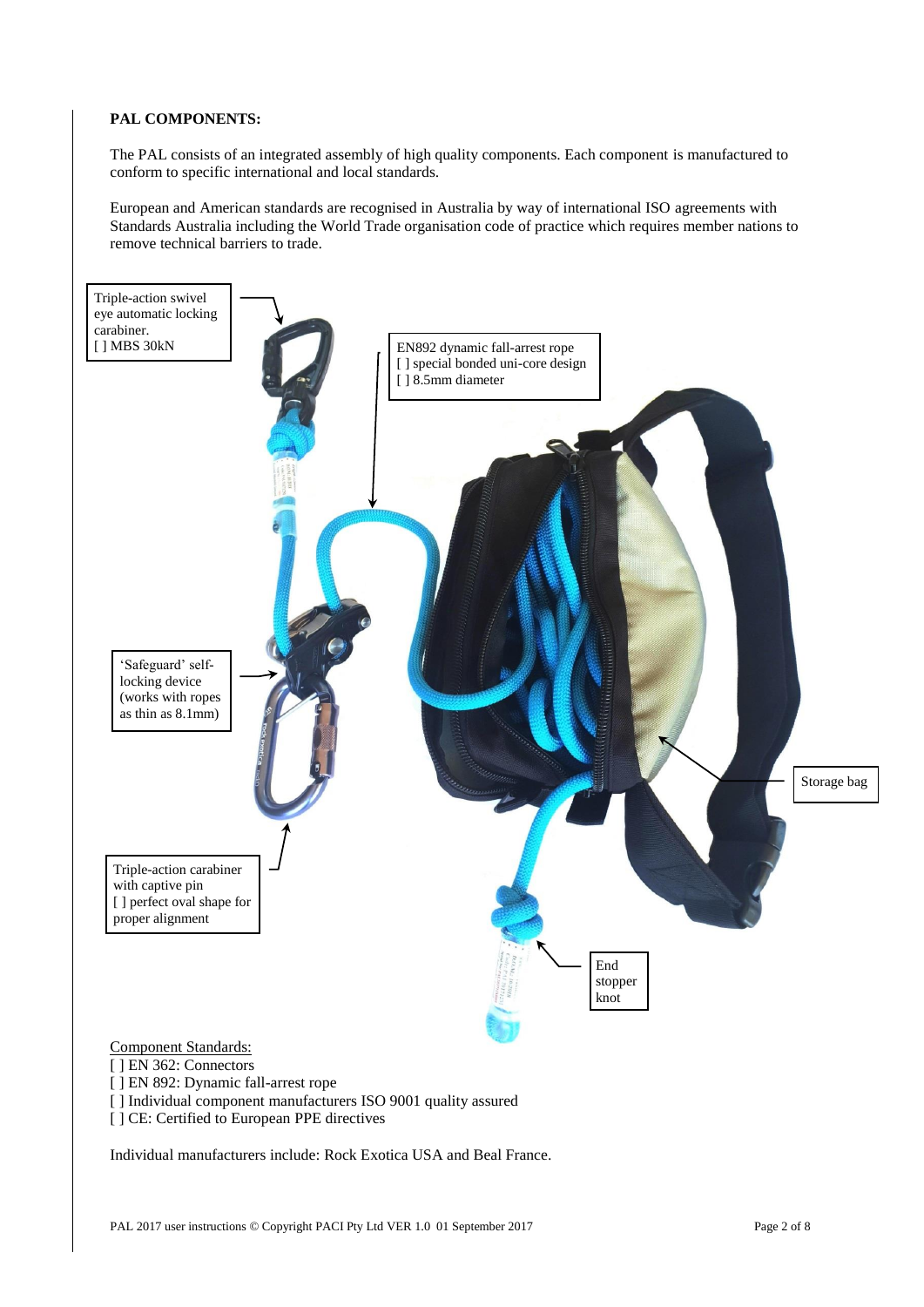## **PAL COMPONENTS:**

The PAL consists of an integrated assembly of high quality components. Each component is manufactured to conform to specific international and local standards.

European and American standards are recognised in Australia by way of international ISO agreements with Standards Australia including the World Trade organisation code of practice which requires member nations to remove technical barriers to trade.



- [ ] Individual component manufacturers ISO 9001 quality assured
- [ ] CE: Certified to European PPE directives

Individual manufacturers include: Rock Exotica USA and Beal France.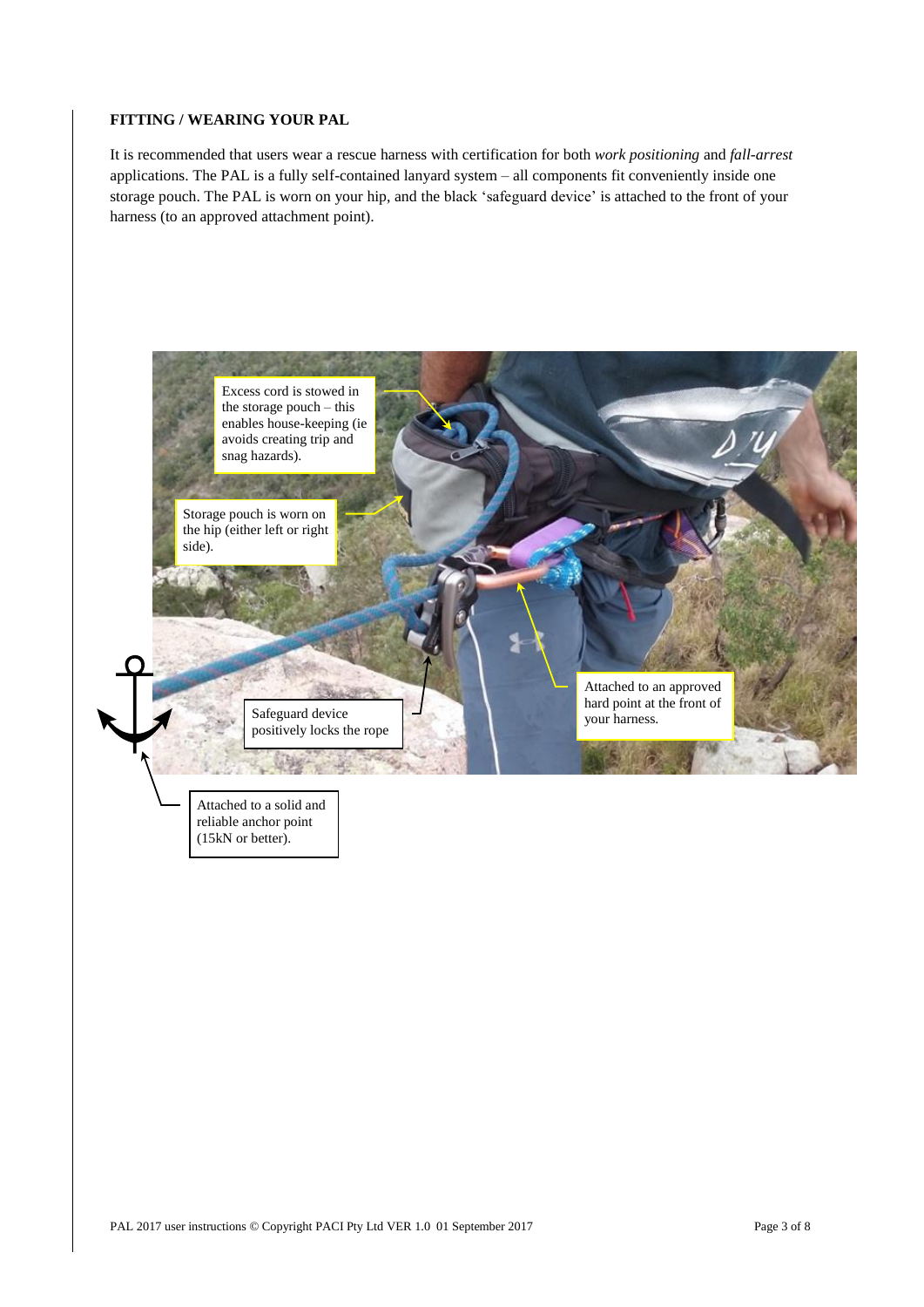### **FITTING / WEARING YOUR PAL**

It is recommended that users wear a rescue harness with certification for both *work positioning* and *fall-arrest* applications. The PAL is a fully self-contained lanyard system – all components fit conveniently inside one storage pouch. The PAL is worn on your hip, and the black 'safeguard device' is attached to the front of your harness (to an approved attachment point).



PAL 2017 user instructions © Copyright PACI Pty Ltd VER 1.0 01 September 2017 Page 3 of 8

(15kN or better).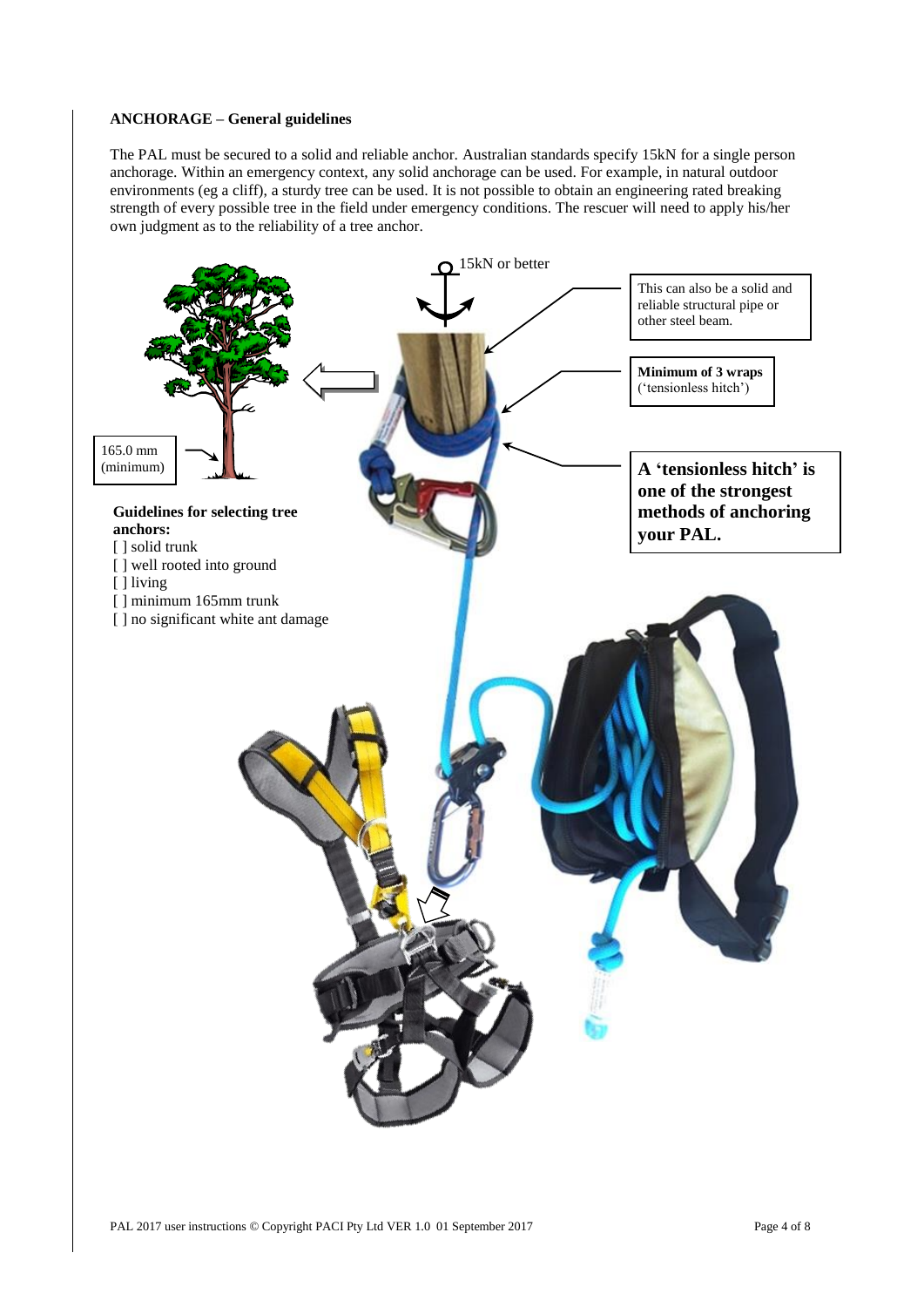#### **ANCHORAGE – General guidelines**

The PAL must be secured to a solid and reliable anchor. Australian standards specify 15kN for a single person anchorage. Within an emergency context, any solid anchorage can be used. For example, in natural outdoor environments (eg a cliff), a sturdy tree can be used. It is not possible to obtain an engineering rated breaking strength of every possible tree in the field under emergency conditions. The rescuer will need to apply his/her own judgment as to the reliability of a tree anchor.

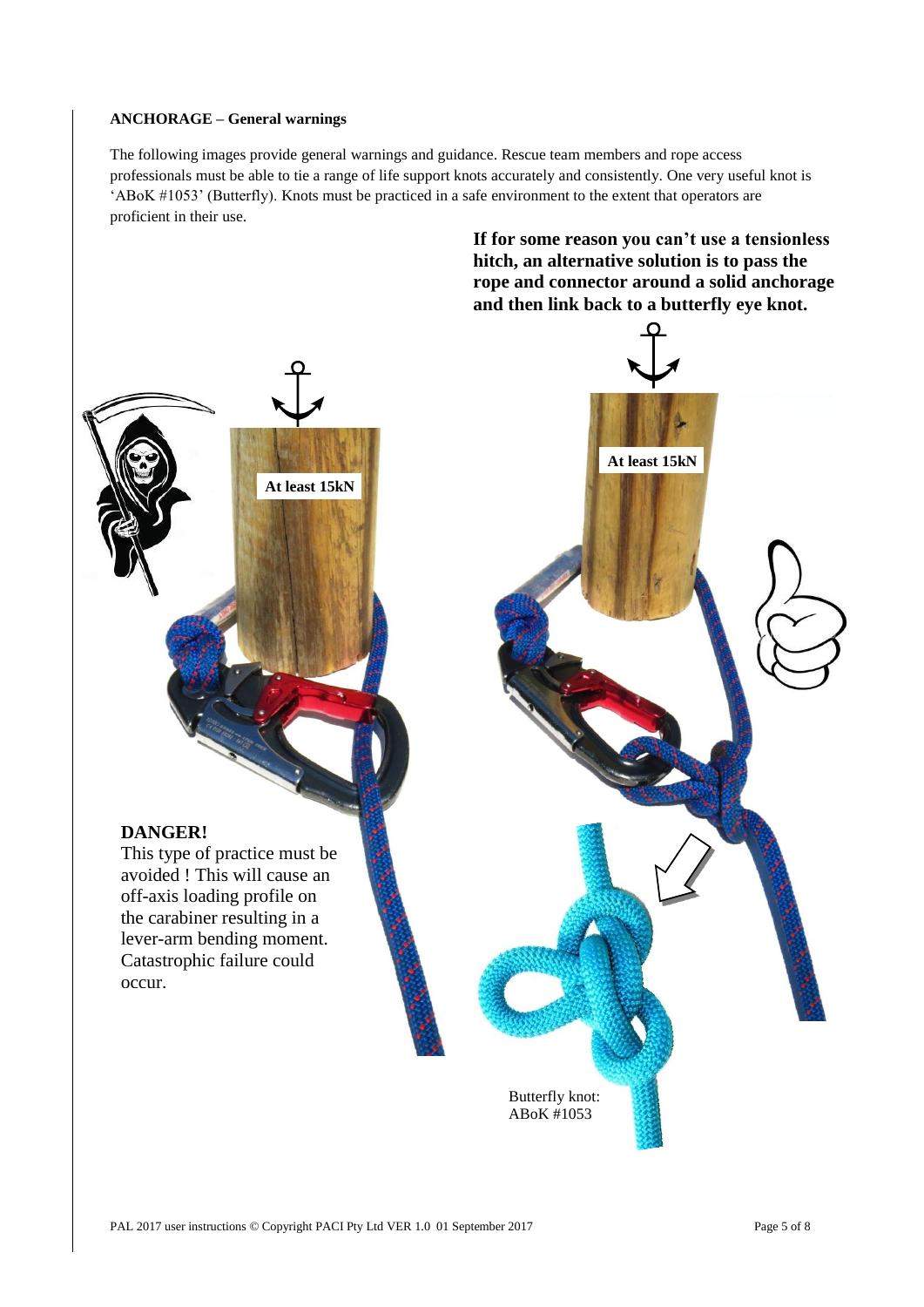### **ANCHORAGE – General warnings**

The following images provide general warnings and guidance. Rescue team members and rope access professionals must be able to tie a range of life support knots accurately and consistently. One very useful knot is 'ABoK #1053' (Butterfly). Knots must be practiced in a safe environment to the extent that operators are proficient in their use.

> **If for some reason you can't use a tensionless hitch, an alternative solution is to pass the rope and connector around a solid anchorage and then link back to a butterfly eye knot.**

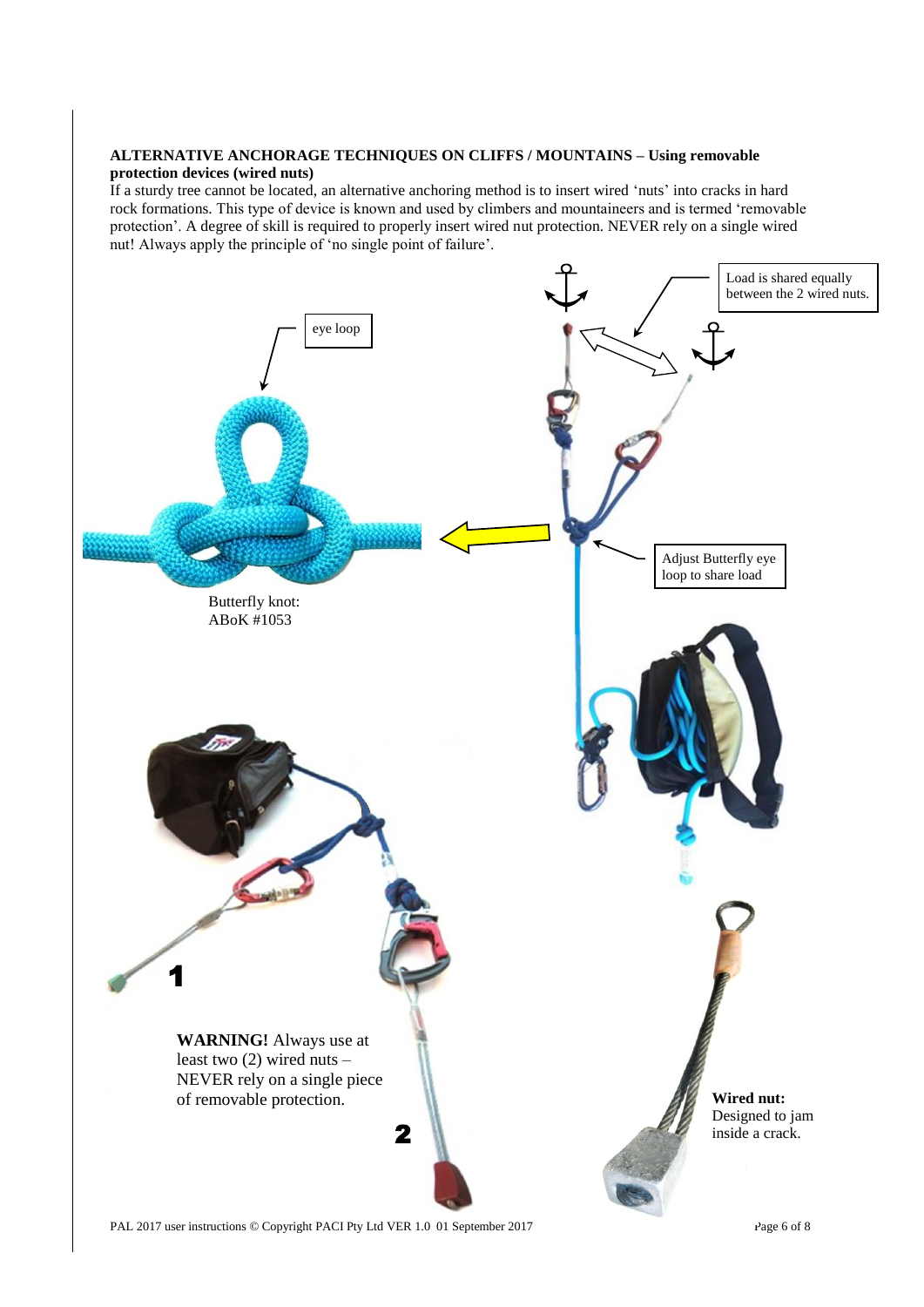#### **ALTERNATIVE ANCHORAGE TECHNIQUES ON CLIFFS / MOUNTAINS – Using removable protection devices (wired nuts)**

If a sturdy tree cannot be located, an alternative anchoring method is to insert wired 'nuts' into cracks in hard rock formations. This type of device is known and used by climbers and mountaineers and is termed 'removable protection'. A degree of skill is required to properly insert wired nut protection. NEVER rely on a single wired nut! Always apply the principle of 'no single point of failure'.



PAL 2017 user instructions © Copyright PACI Pty Ltd VER 1.0 01 September 2017 Page 6 of 8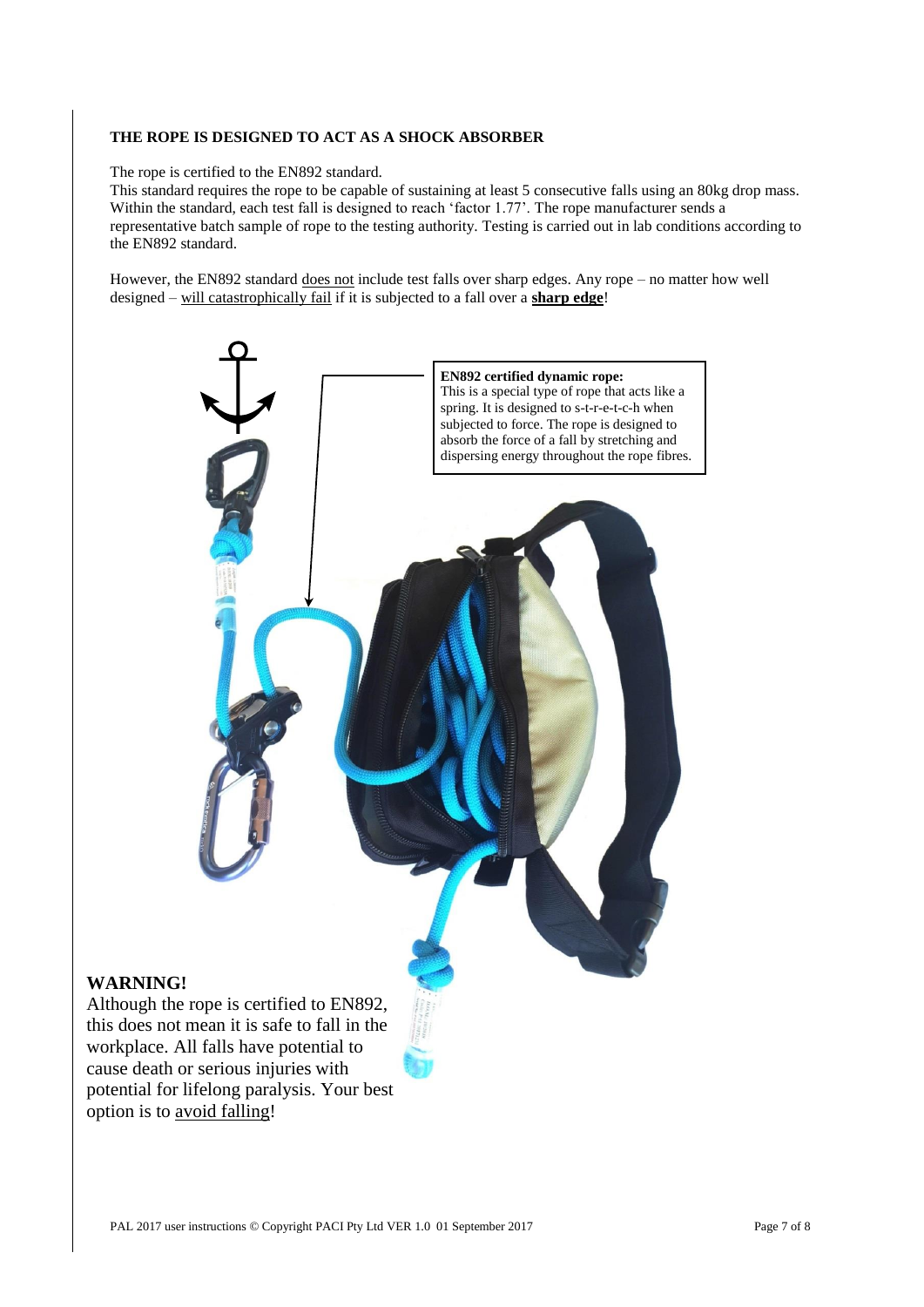# **THE ROPE IS DESIGNED TO ACT AS A SHOCK ABSORBER**

The rope is certified to the EN892 standard.

This standard requires the rope to be capable of sustaining at least 5 consecutive falls using an 80kg drop mass. Within the standard, each test fall is designed to reach 'factor 1.77'. The rope manufacturer sends a representative batch sample of rope to the testing authority. Testing is carried out in lab conditions according to the EN892 standard.

However, the EN892 standard does not include test falls over sharp edges. Any rope – no matter how well designed – will catastrophically fail if it is subjected to a fall over a **sharp edge**!